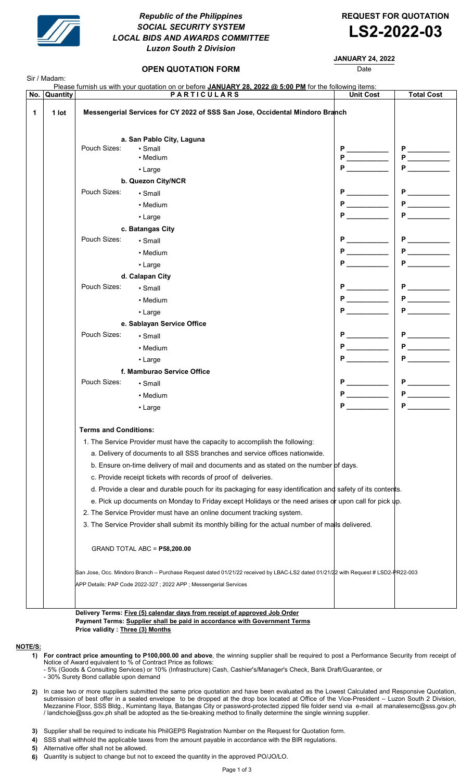

# Republic of the Philippines REQUEST FOR QUOTATION SOCIAL SECURITY SYSTEM SOCIAL SECURITY SYSTEM<br>LOCAL BIDS AND AWARDS COMMITTEE **LS2-2022-03** Luzon South 2 Division

## JANUARY 24, 2022

**OPEN QUOTATION FORM DATE:** Date

| No. Quantity |                                                                                                                                  | Please furnish us with your quotation on or before JANUARY 28, 2022 @ 5:00 PM for the following items:<br><b>PARTICULARS</b> | <b>Unit Cost</b>                  | <b>Total Cost</b>                                                                                                                                                                                                                                                                                                                                                                                                                                                                                                                  |
|--------------|----------------------------------------------------------------------------------------------------------------------------------|------------------------------------------------------------------------------------------------------------------------------|-----------------------------------|------------------------------------------------------------------------------------------------------------------------------------------------------------------------------------------------------------------------------------------------------------------------------------------------------------------------------------------------------------------------------------------------------------------------------------------------------------------------------------------------------------------------------------|
| 1<br>1 lot   | Messengerial Services for CY 2022 of SSS San Jose, Occidental Mindoro Branch                                                     |                                                                                                                              |                                   |                                                                                                                                                                                                                                                                                                                                                                                                                                                                                                                                    |
|              |                                                                                                                                  |                                                                                                                              |                                   |                                                                                                                                                                                                                                                                                                                                                                                                                                                                                                                                    |
|              |                                                                                                                                  | a. San Pablo City, Laguna                                                                                                    |                                   |                                                                                                                                                                                                                                                                                                                                                                                                                                                                                                                                    |
|              | Pouch Sizes:                                                                                                                     | $\cdot$ Small<br>• Medium                                                                                                    | $P \xrightarrow{\phantom{P^P^P}}$ | $P \xrightarrow{\qquad P \qquad \qquad P \qquad \qquad P \qquad \qquad \qquad P \qquad \qquad \qquad P \qquad \qquad \qquad P \qquad \qquad \qquad \qquad P \qquad \qquad \qquad \qquad P \qquad \qquad \qquad \qquad P \qquad \qquad \qquad \qquad P \qquad \qquad \qquad \qquad P \qquad \qquad \qquad \qquad P \qquad \qquad \qquad \qquad P \qquad \qquad \qquad \qquad P \qquad \qquad \qquad \qquad P \qquad \qquad \qquad \qquad P \qquad \qquad \qquad \qquad P \qquad \qquad \qquad \qquad P \qquad \qquad \qquad \qquad$ |
|              |                                                                                                                                  | • Large                                                                                                                      |                                   | <b>P</b> and the set of the set of the set of the set of the set of the set of the set of the set of the set of the set of the set of the set of the set of the set of the set of the set of the set of the set of the set of the s                                                                                                                                                                                                                                                                                                |
|              |                                                                                                                                  | b. Quezon City/NCR                                                                                                           |                                   |                                                                                                                                                                                                                                                                                                                                                                                                                                                                                                                                    |
|              | Pouch Sizes:                                                                                                                     | $\cdot$ Small                                                                                                                |                                   |                                                                                                                                                                                                                                                                                                                                                                                                                                                                                                                                    |
|              |                                                                                                                                  |                                                                                                                              | <b>P</b>                          |                                                                                                                                                                                                                                                                                                                                                                                                                                                                                                                                    |
|              |                                                                                                                                  | • Medium                                                                                                                     |                                   | <b>P</b>                                                                                                                                                                                                                                                                                                                                                                                                                                                                                                                           |
|              |                                                                                                                                  | • Large                                                                                                                      |                                   |                                                                                                                                                                                                                                                                                                                                                                                                                                                                                                                                    |
|              | Pouch Sizes:                                                                                                                     | c. Batangas City                                                                                                             |                                   |                                                                                                                                                                                                                                                                                                                                                                                                                                                                                                                                    |
|              |                                                                                                                                  | $\cdot$ Small                                                                                                                | $P \quad \underline{\quad}$       |                                                                                                                                                                                                                                                                                                                                                                                                                                                                                                                                    |
|              |                                                                                                                                  | • Medium                                                                                                                     |                                   |                                                                                                                                                                                                                                                                                                                                                                                                                                                                                                                                    |
|              |                                                                                                                                  | • Large                                                                                                                      |                                   | <b>P</b>                                                                                                                                                                                                                                                                                                                                                                                                                                                                                                                           |
|              |                                                                                                                                  | d. Calapan City                                                                                                              |                                   |                                                                                                                                                                                                                                                                                                                                                                                                                                                                                                                                    |
|              | Pouch Sizes:                                                                                                                     | $\cdot$ Small                                                                                                                |                                   |                                                                                                                                                                                                                                                                                                                                                                                                                                                                                                                                    |
|              |                                                                                                                                  | • Medium                                                                                                                     |                                   |                                                                                                                                                                                                                                                                                                                                                                                                                                                                                                                                    |
|              |                                                                                                                                  | $\cdot$ Large                                                                                                                | P <sub>ar</sub>                   | <b>P</b>                                                                                                                                                                                                                                                                                                                                                                                                                                                                                                                           |
|              | e. Sablayan Service Office                                                                                                       |                                                                                                                              |                                   |                                                                                                                                                                                                                                                                                                                                                                                                                                                                                                                                    |
|              | Pouch Sizes:                                                                                                                     | $\cdot$ Small                                                                                                                | $P \nightharpoonup$               |                                                                                                                                                                                                                                                                                                                                                                                                                                                                                                                                    |
|              |                                                                                                                                  | • Medium                                                                                                                     | $P \qquad \qquad$                 |                                                                                                                                                                                                                                                                                                                                                                                                                                                                                                                                    |
|              |                                                                                                                                  | • Large                                                                                                                      |                                   |                                                                                                                                                                                                                                                                                                                                                                                                                                                                                                                                    |
|              | f. Mamburao Service Office                                                                                                       |                                                                                                                              |                                   |                                                                                                                                                                                                                                                                                                                                                                                                                                                                                                                                    |
|              | Pouch Sizes:                                                                                                                     | • Small                                                                                                                      |                                   | $P_$                                                                                                                                                                                                                                                                                                                                                                                                                                                                                                                               |
|              |                                                                                                                                  | • Medium                                                                                                                     |                                   |                                                                                                                                                                                                                                                                                                                                                                                                                                                                                                                                    |
|              |                                                                                                                                  | • Large                                                                                                                      |                                   | <b>P</b> and the set of the set of the set of the set of the set of the set of the set of the set of the set of the set of the set of the set of the set of the set of the set of the set of the set of the set of the set of the s                                                                                                                                                                                                                                                                                                |
|              | <b>Terms and Conditions:</b>                                                                                                     |                                                                                                                              |                                   |                                                                                                                                                                                                                                                                                                                                                                                                                                                                                                                                    |
|              | 1. The Service Provider must have the capacity to accomplish the following:                                                      |                                                                                                                              |                                   |                                                                                                                                                                                                                                                                                                                                                                                                                                                                                                                                    |
|              | a. Delivery of documents to all SSS branches and service offices nationwide.                                                     |                                                                                                                              |                                   |                                                                                                                                                                                                                                                                                                                                                                                                                                                                                                                                    |
|              | b. Ensure on-time delivery of mail and documents and as stated on the number of days.                                            |                                                                                                                              |                                   |                                                                                                                                                                                                                                                                                                                                                                                                                                                                                                                                    |
|              | c. Provide receipt tickets with records of proof of deliveries.                                                                  |                                                                                                                              |                                   |                                                                                                                                                                                                                                                                                                                                                                                                                                                                                                                                    |
|              | d. Provide a clear and durable pouch for its packaging for easy identification and safety of its contents.                       |                                                                                                                              |                                   |                                                                                                                                                                                                                                                                                                                                                                                                                                                                                                                                    |
|              | e. Pick up documents on Monday to Friday except Holidays or the need arises or upon call for pick up.                            |                                                                                                                              |                                   |                                                                                                                                                                                                                                                                                                                                                                                                                                                                                                                                    |
|              | 2. The Service Provider must have an online document tracking system.                                                            |                                                                                                                              |                                   |                                                                                                                                                                                                                                                                                                                                                                                                                                                                                                                                    |
|              |                                                                                                                                  | 3. The Service Provider shall submit its monthly billing for the actual number of mails delivered.                           |                                   |                                                                                                                                                                                                                                                                                                                                                                                                                                                                                                                                    |
|              | GRAND TOTAL ABC = P58,200.00                                                                                                     |                                                                                                                              |                                   |                                                                                                                                                                                                                                                                                                                                                                                                                                                                                                                                    |
|              | San Jose, Occ. Mindoro Branch - Purchase Request dated 01/21/22 received by LBAC-LS2 dated 01/21/22 with Request # LSD2-PR22-003 |                                                                                                                              |                                   |                                                                                                                                                                                                                                                                                                                                                                                                                                                                                                                                    |
|              |                                                                                                                                  | APP Details: PAP Code 2022-327 ; 2022 APP ; Messengerial Services                                                            |                                   |                                                                                                                                                                                                                                                                                                                                                                                                                                                                                                                                    |
|              |                                                                                                                                  |                                                                                                                              |                                   |                                                                                                                                                                                                                                                                                                                                                                                                                                                                                                                                    |

Payment Terms: Supplier shall be paid in accordance with Government Terms Price validity : Three (3) Months

### NOTE/S:

- 1) For contract price amounting to P100,000.00 and above, the winning supplier shall be required to post a Performance Security from receipt of Notice of Award equivalent to % of Contract Price as follows:
- 5% (Goods & Consulting Services) or 10% (Infrastructure) Cash, Cashier's/Manager's Check, Bank Draft/Guarantee, or
	- 30% Surety Bond callable upon demand
- 2) In case two or more suppliers submitted the same price quotation and have been evaluated as the Lowest Calculated and Responsive Quotation, submission of best offer in a sealed envelope to be dropped at the drop box located at Office of the Vice-President – Luzon South 2 Division, Mezzanine Floor, SSS Bldg., Kumintang Ilaya, Batangas City or password-protected zipped file folder send via e-mail at manalesemc@sss.gov.ph / landichoie@sss.gov.ph shall be adopted as the tie-breaking method to finally determine the single winning supplier.
- 3) Supplier shall be required to indicate his PhilGEPS Registration Number on the Request for Quotation form.
- 4) SSS shall withhold the applicable taxes from the amount payable in accordance with the BIR regulations.
- 5) Alternative offer shall not be allowed.
- 6) Quantity is subject to change but not to exceed the quantity in the approved PO/JO/LO.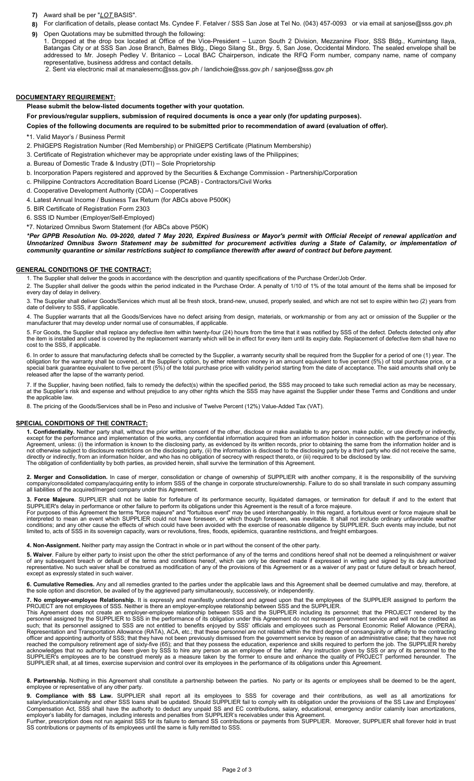- 7) Award shall be per "LOT BASIS".
- 8) For clarification of details, please contact Ms. Cyndee F. Fetalver / SSS San Jose at Tel No. (043) 457-0093 or via email at sanjose@sss.gov.ph
- 9) Open Quotations may be submitted through the following: Dropped at the drop box located at Office of the Vice-President – Luzon South 2 Division, Mezzanine Floor, SSS Bldg., Kumintang Ilaya, Batangas City or at SSS San Jose Branch, Balmes Bldg., Diego Silang St., Brgy. 5, San Jose, Occidental Mindoro. The sealed envelope shall be addressed to Mr. Joseph Pedley V. Britanico – Local BAC Chairperson, indicate the RFQ Form number, company name, name of company representative, business address and contact details.
	- 2. Sent via electronic mail at manalesemc@sss.gov.ph / landichoie@sss.gov.ph / sanjose@sss.gov.ph

## DOCUMENTARY REQUIREMENT:

Please submit the below-listed documents together with your quotation.

For previous/regular suppliers, submission of required documents is once a year only (for updating purposes).

Copies of the following documents are required to be submitted prior to recommendation of award (evaluation of offer).

- \*1. Valid Mayor's / Business Permit
- 2. PhilGEPS Registration Number (Red Membership) or PhilGEPS Certificate (Platinum Membership)
- 3. Certificate of Registration whichever may be appropriate under existing laws of the Philippines;
- a. Bureau of Domestic Trade & Industry (DTI) Sole Proprietorship
- b. Incorporation Papers registered and approved by the Securities & Exchange Commission Partnership/Corporation
- c. Philippine Contractors Accreditation Board License (PCAB) Contractors/Civil Works
- d. Cooperative Development Authority (CDA) Cooperatives
- 4. Latest Annual Income / Business Tax Return (for ABCs above P500K)
- 5. BIR Certificate of Registration Form 2303
- 6. SSS ID Number (Employer/Self-Employed)
- \*7. Notarized Omnibus Sworn Statement (for ABCs above P50K)

\*Per GPPB Resolution No. 09-2020, dated 7 May 2020, Expired Business or Mayor's permit with Official Receipt of renewal application and Unnotarized Omnibus Sworn Statement may be submitted for procurement activities during a State of Calamity, or implementation of community quarantine or similar restrictions subject to compliance therewith after award of contract but before payment.

#### GENERAL CONDITIONS OF THE CONTRACT:

1. The Supplier shall deliver the goods in accordance with the description and quantity specifications of the Purchase Order/Job Order.

2. The Supplier shall deliver the goods within the period indicated in the Purchase Order. A penalty of 1/10 of 1% of the total amount of the items shall be imposed for every day of delay in delivery.

3. The Supplier shall deliver Goods/Services which must all be fresh stock, brand-new, unused, properly sealed, and which are not set to expire within two (2) years from date of delivery to SSS, if applicable.

4. The Supplier warrants that all the Goods/Services have no defect arising from design, materials, or workmanship or from any act or omission of the Supplier or the manufacturer that may develop under normal use of consumables, if applicable.

5. For Goods, the Supplier shall replace any defective item within twenty-four (24) hours from the time that it was notified by SSS of the defect. Defects detected only after the item is installed and used is covered by the replacement warranty which will be in effect for every item until its expiry date. Replacement of defective item shall have no cost to the SSS, if applicable.

6. In order to assure that manufacturing defects shall be corrected by the Supplier, a warranty security shall be required from the Supplier for a period of one (1) year. The obligation for the warranty shall be covered, at the Supplier's option, by either retention money in an amount equivalent to five percent (5%) of total purchase price, or a special bank guarantee equivalent to five percent (5%) of the total purchase price with validity period starting from the date of acceptance. The said amounts shall only be released after the lapse of the warranty period.

7. If the Supplier, having been notified, fails to remedy the defect(s) within the specified period, the SSS may proceed to take such remedial action as may be necessary, at the Supplier's risk and expense and without prejudice to any other rights which the SSS may have against the Supplier under these Terms and Conditions and under the applicable law.

8. The pricing of the Goods/Services shall be in Peso and inclusive of Twelve Percent (12%) Value-Added Tax (VAT).

#### SPECIAL CONDITIONS OF THE CONTRACT:

1. Confidentiality. Neither party shall, without the prior written consent of the other, disclose or make available to any person, make public, or use directly or indirectly, except for the performance and implementation of the works, any confidential information acquired from an information holder in connection with the performance of this Agreement, unless: (i) the information is known to the disclosing party, as evidenced by its written records, prior to obtaining the same from the information holder and is not otherwise subject to disclosure restrictions on the disclosing party, (ii) the information is disclosed to the disclosing party by a third party who did not receive the same, directly or indirectly, from an information holder, and who has no obligation of secrecy with respect thereto, or (iii) required to be disclosed by law. The obligation of confidentiality by both parties, as provided herein, shall survive the termination of this Agreement.

2. Merger and Consolidation. In case of merger, consolidation or change of ownership of SUPPLIER with another company, it is the responsibility of the surviving company/consolidated company/acquiring entity to inform SSS of the change in corporate structure/ownership. Failure to do so shall translate in such company assuming all liabilities of the acquired/merged company under this Agreement.

Force Majeure. SUPPLIER shall not be liable for forfeiture of its performance security, liquidated damages, or termination for default if and to the extent that SUPPLIER's delay in performance or other failure to perform its obligations under this Agreement is the result of a force majeure.

For purposes of this Agreement the terms "force majeure" and "fortuitous event" may be used interchangeably. In this regard, a fortuitous event or force majeure shall be interpreted to mean an event which SUPPLIER could not have foreseen, or which though foreseen, was inevitable. It shall not include ordinary unfavorable weather conditions; and any other cause the effects of which could have been avoided with the exercise of reasonable diligence by SUPPLIER. Such events may include, but not limited to, acts of SSS in its sovereign capacity, wars or revolutions, fires, floods, epidemics, quarantine restrictions, and freight embargoes.

4. Non-Assignment. Neither party may assign the Contract in whole or in part without the consent of the other party

5. Waiver. Failure by either party to insist upon the other the strict performance of any of the terms and conditions hereof shall not be deemed a relinquishment or waiver of any subsequent breach or default of the terms and conditions hereof, which can only be deemed made if expressed in writing and signed by its duly authorized representative. No such waiver shall be construed as modification of any of the provisions of this Agreement or as a waiver of any past or future default or breach hereof, except as expressly stated in such waiver.

6. Cumulative Remedies. Any and all remedies granted to the parties under the applicable laws and this Agreement shall be deemed cumulative and may, therefore, at the sole option and discretion, be availed of by the aggrieved party simultaneously, successively, or independently.

7. No employer-employee Relationship. It is expressly and manifestly understood and agreed upon that the employees of the SUPPLIER assigned to perform the PROJECT are not employees of SSS. Neither is there an employer-employee relationship between SSS and the SUPPLIER.

This Agreement does not create an employer-employee relationship between SSS and the SUPPLIER including its personnel; that the PROJECT rendered by the personnel assigned by the SUPPLIER to SSS in the performance of its obligation under this Agreement do not represent government service and will not be credited as such; that its personnel assigned to SSS are not entitled to benefits enjoyed by SSS' officials and employees such as Personal Economic Relief Allowance (PERA), Representation and Transportation Allowance (RATA), ACA, etc.; that these personnel are not related within the third degree of consanguinity or affinity to the contracting officer and appointing authority of SSS; that they have not been previously dismissed from the government service by reason of an administrative case; that they have not reached the compulsory retirement age of sixty-five (65); and that they possess the education, experience and skills required to perform the job. The SUPPLIER hereby acknowledges that no authority has been given by SSS to hire any person as an employee of the latter. Any instruction given by SSS or any of its personnel to the SUPPLIER's employees are to be construed merely as a measure taken by the former to ensure and enhance the quality of PROJECT performed hereunder. The SUPPLIER shall, at all times, exercise supervision and control over its employees in the performance of its obligations under this Agreement.

8. Partnership. Nothing in this Agreement shall constitute a partnership between the parties. No party or its agents or employees shall be deemed to be the agent, employee or representative of any other party.

9. Compliance with SS Law. SUPPLIER shall report all its employees to SSS for coverage and their contributions, as well as all amortizations for salary/education/calamity and other SSS loans shall be updated. Should SUPPLIER fail to comply with its obligation under the provisions of the SS Law and Employees' Compensation Act, SSS shall have the authority to deduct any unpaid SS and EC contributions, salary, educational, emergency and/or calamity loan amortizations, employer's liability for damages, including interests and penalties from SUPPLIER's receivables under this Agreement. Further, prescription does not run against SSS for its failure to demand SS contributions or payments from SUPPLIER. Moreover, SUPPLIER shall forever hold in trust SS contributions or payments of its employees until the same is fully remitted to SSS.